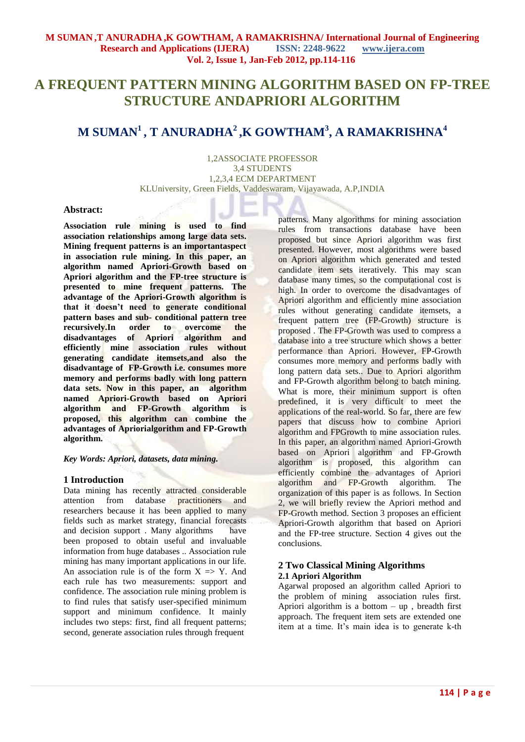# **A FREQUENT PATTERN MINING ALGORITHM BASED ON FP-TREE STRUCTURE ANDAPRIORI ALGORITHM**

## **M SUMAN<sup>1</sup>, T ANURADHA<sup>2</sup>,K GOWTHAM<sup>3</sup> , A RAMAKRISHNA<sup>4</sup>**

1,2ASSOCIATE PROFESSOR 3,4 STUDENTS 1,2,3,4 ECM DEPARTMENT KLUniversity, Green Fields, Vaddeswaram, Vijayawada, A.P,INDIA

#### **Abstract:**

**Association rule mining is used to find association relationships among large data sets. Mining frequent patterns is an importantaspect in association rule mining. In this paper, an algorithm named Apriori-Growth based on Apriori algorithm and the FP-tree structure is presented to mine frequent patterns. The advantage of the Apriori-Growth algorithm is that it doesn't need to generate conditional pattern bases and sub- conditional pattern tree recursively.In order to overcome the disadvantages of Apriori algorithm and efficiently mine association rules without generating candidate itemsets,and also the disadvantage of FP-Growth i.e. consumes more memory and performs badly with long pattern data sets. Now in this paper, an algorithm named Apriori-Growth based on Apriori algorithm and FP-Growth algorithm is proposed, this algorithm can combine the advantages of Apriorialgorithm and FP-Growth algorithm.** 

*Key Words: Apriori, datasets, data mining.*

#### **1 Introduction**

Data mining has recently attracted considerable attention from database practitioners and researchers because it has been applied to many fields such as market strategy, financial forecasts and decision support . Many algorithms have been proposed to obtain useful and invaluable information from huge databases .. Association rule mining has many important applications in our life. An association rule is of the form  $X \Rightarrow Y$ . And each rule has two measurements: support and confidence. The association rule mining problem is to find rules that satisfy user-specified minimum support and minimum confidence. It mainly includes two steps: first, find all frequent patterns; second, generate association rules through frequent

patterns. Many algorithms for mining association rules from transactions database have been proposed but since Apriori algorithm was first presented. However, most algorithms were based on Apriori algorithm which generated and tested candidate item sets iteratively. This may scan database many times, so the computational cost is high. In order to overcome the disadvantages of Apriori algorithm and efficiently mine association rules without generating candidate itemsets, a frequent pattern tree (FP-Growth) structure is proposed . The FP-Growth was used to compress a database into a tree structure which shows a better performance than Apriori. However, FP-Growth consumes more memory and performs badly with long pattern data sets.. Due to Apriori algorithm and FP-Growth algorithm belong to batch mining. What is more, their minimum support is often predefined, it is very difficult to meet the applications of the real-world. So far, there are few papers that discuss how to combine Apriori algorithm and FPGrowth to mine association rules. In this paper, an algorithm named Apriori-Growth based on Apriori algorithm and FP-Growth algorithm is proposed, this algorithm can efficiently combine the advantages of Apriori algorithm and FP-Growth algorithm. The organization of this paper is as follows. In Section 2, we will briefly review the Apriori method and FP-Growth method. Section 3 proposes an efficient Apriori-Growth algorithm that based on Apriori and the FP-tree structure. Section 4 gives out the conclusions.

## **2 Two Classical Mining Algorithms 2.1 Apriori Algorithm**

Agarwal proposed an algorithm called Apriori to the problem of mining association rules first. Apriori algorithm is a bottom  $-$  up, breadth first approach. The frequent item sets are extended one item at a time. It's main idea is to generate k-th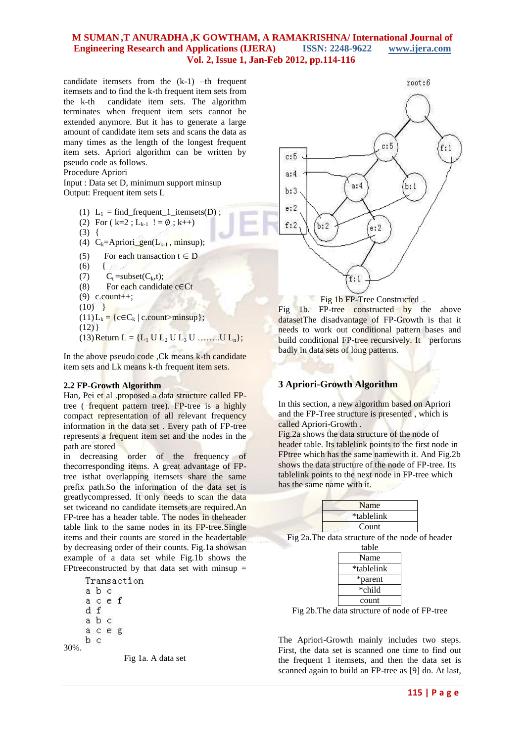## **M SUMAN ,T ANURADHA ,K GOWTHAM, A RAMAKRISHNA/ International Journal of Engineering Research and Applications (IJERA) ISSN: 2248-9622 www.ijera.com Vol. 2, Issue 1, Jan-Feb 2012, pp.114-116**

candidate itemsets from the (k-1) –th frequent itemsets and to find the k-th frequent item sets from the k-th candidate item sets. The algorithm terminates when frequent item sets cannot be extended anymore. But it has to generate a large amount of candidate item sets and scans the data as many times as the length of the longest frequent item sets. Apriori algorithm can be written by pseudo code as follows.

#### Procedure Apriori

Input : Data set D, minimum support minsup Output: Frequent item sets L

- (1)  $L_1 = \text{find\_frequent\_1\_itemsets}(D)$ ;
- (2) For ( k=2 ;  $L_{k-1}$  ! =  $\emptyset$  ; k++)  $(3)$  {
- (4)  $C_k =$ Apriori gen(L<sub>k-1</sub>, minsup);
- (5) For each transaction  $t \in D$
- $(6)$
- (7)  $C_t = subset(C_k,t);$
- (8) For each candidate c∈Ct
- $(9)$  c.count++:
- $(10)$  }
- $(11)L_k = {c \in C_k | c.count>minus}$ ;

```
(12)
```
 $(13)$  Return  $L = \{L_1 \cup L_2 \cup L_3 \cup \ldots \cup L_n\};$ 

In the above pseudo code ,Ck means k-th candidate item sets and Lk means k-th frequent item sets.

#### **2.2 FP-Growth Algorithm**

Han, Pei et al .proposed a data structure called FPtree ( frequent pattern tree). FP-tree is a highly compact representation of all relevant frequency information in the data set . Every path of FP-tree represents a frequent item set and the nodes in the path are stored

in decreasing order of the frequency of thecorresponding items. A great advantage of FPtree isthat overlapping itemsets share the same prefix path.So the information of the data set is greatlycompressed. It only needs to scan the data set twiceand no candidate itemsets are required.An FP-tree has a header table. The nodes in theheader table link to the same nodes in its FP-tree.Single items and their counts are stored in the headertable by decreasing order of their counts. Fig.1a showsan example of a data set while Fig.1b shows the FPtreeconstructed by that data set with minsup  $=$ 

Transaction a b c a c e f d f a b c a c e g b c 30%.





Fig 1b. FP-tree constructed by the above datasetThe disadvantage of FP-Growth is that it needs to work out conditional pattern bases and build conditional FP-tree recursively. It performs badly in data sets of long patterns.

## **3 Apriori-Growth Algorithm**

In this section, a new algorithm based on Apriori and the FP-Tree structure is presented , which is called Apriori-Growth .

Fig.2a shows the data structure of the node of header table. Its tablelink points to the first node in FPtree which has the same namewith it. And Fig.2b shows the data structure of the node of FP-tree. Its tablelink points to the next node in FP-tree which has the same name with it.

| Name       |  |
|------------|--|
| *tablelink |  |
| Count      |  |

Fig 2a.The data structure of the node of header

| table      |
|------------|
| Name       |
| *tablelink |
| *parent    |
| *child     |
| count      |

Fig 2b.The data structure of node of FP-tree

The Apriori-Growth mainly includes two steps. First, the data set is scanned one time to find out the frequent 1 itemsets, and then the data set is scanned again to build an FP-tree as [9] do. At last,

Fig 1a. A data set